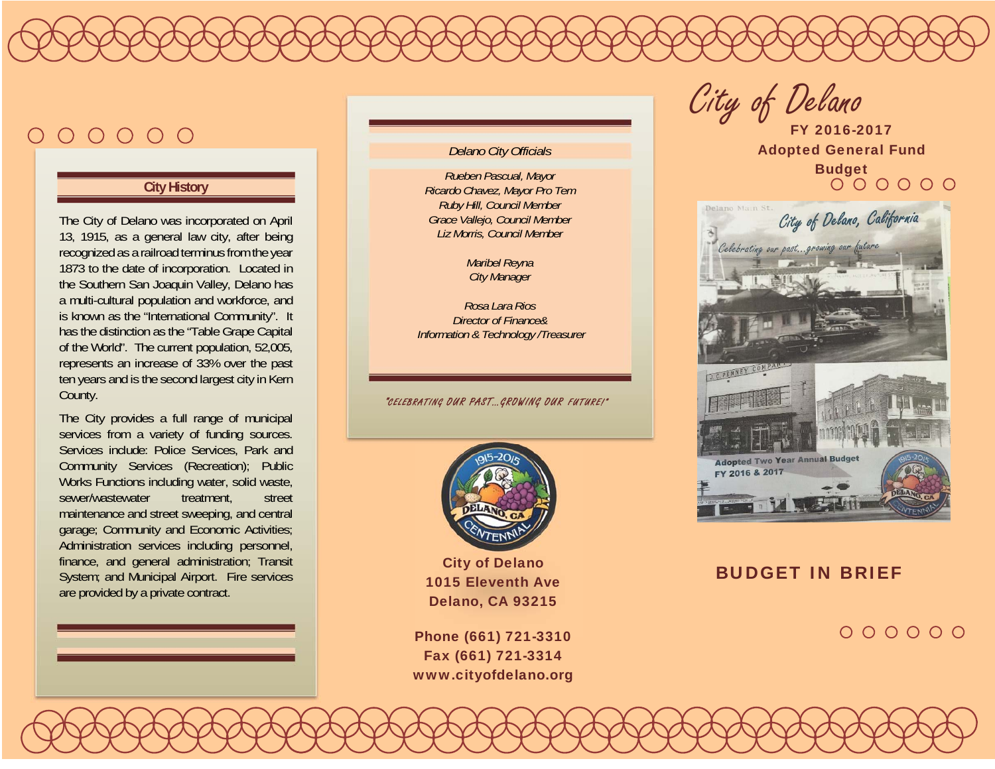# $000000$

#### **City History**

The City of Delano was incorporated on April 13, 1915, as a general law city, after being recognized as a railroad terminus from the year 1873 to the date of incorporation. Located in the Southern San Joaquin Valley, Delano has a multi-cultural population and workforce, and is known as the "International Community". It has the distinction as the "Table Grape Capital of the World". The current population, 52,005, represents an increase of 33% over the past ten years and is the second largest city in Kern County.

The City provides a full range of municipal services from a variety of funding sources. Services include: Police Services, Park and Community Services (Recreation); Public Works Functions including water, solid waste, sewer/wastewater treatment, street maintenance and street sweeping, and central garage; Community and Economic Activities; Administration services including personnel, finance, and general administration; Transit System; and Municipal Airport. Fire services are provided by a private contract.

#### *Delano City Officials*

*Rueben Pascual, Mayor Ricardo Chavez, Mayor Pro Tem Ruby Hill, Council Member Grace Vallejo, Council Member Liz Morris, Council Member* 

> *Maribel Reyna City Manager*

*Rosa Lara Rios Director of Finance& Information & Technology /Treasurer* 

"CELEBRATING OUR PAST…GROWING OUR FUTURE!"



City of Delano 1015 Eleventh Ave Delano, CA 93215

Phone (661) 721-3310 Fax (661) 721-3314 www.cityofdelano.org

City of Delano

FY 2016-2017 Adopted General Fund Budget



#### BUDGET IN BRIEF

 $000000$